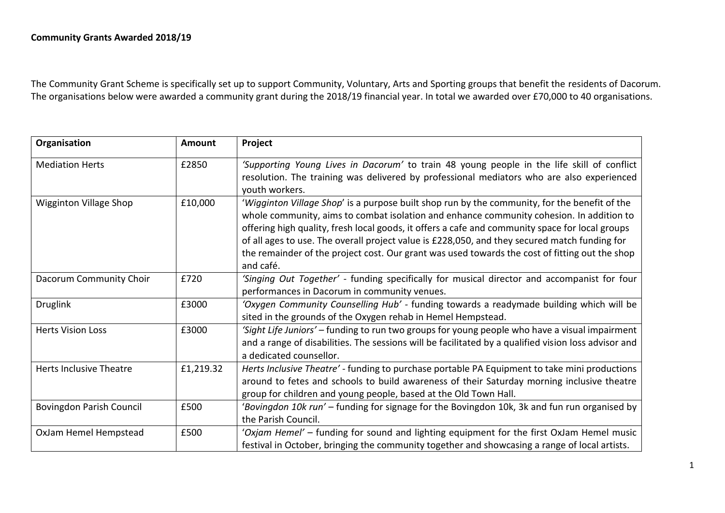The Community Grant Scheme is specifically set up to support Community, Voluntary, Arts and Sporting groups that benefit the residents of Dacorum. The organisations below were awarded a community grant during the 2018/19 financial year. In total we awarded over £70,000 to 40 organisations.

| Organisation                  | <b>Amount</b> | Project                                                                                              |
|-------------------------------|---------------|------------------------------------------------------------------------------------------------------|
| <b>Mediation Herts</b>        | £2850         | 'Supporting Young Lives in Dacorum' to train 48 young people in the life skill of conflict           |
|                               |               | resolution. The training was delivered by professional mediators who are also experienced            |
|                               |               | youth workers.                                                                                       |
| <b>Wigginton Village Shop</b> | £10,000       | 'Wigginton Village Shop' is a purpose built shop run by the community, for the benefit of the        |
|                               |               | whole community, aims to combat isolation and enhance community cohesion. In addition to             |
|                               |               | offering high quality, fresh local goods, it offers a cafe and community space for local groups      |
|                               |               | of all ages to use. The overall project value is £228,050, and they secured match funding for        |
|                               |               | the remainder of the project cost. Our grant was used towards the cost of fitting out the shop       |
|                               |               | and café.                                                                                            |
| Dacorum Community Choir       | £720          | 'Singing Out Together' - funding specifically for musical director and accompanist for four          |
|                               |               | performances in Dacorum in community venues.                                                         |
| <b>Druglink</b>               | £3000         | 'Oxygen Community Counselling Hub' - funding towards a readymade building which will be              |
|                               |               | sited in the grounds of the Oxygen rehab in Hemel Hempstead.                                         |
| <b>Herts Vision Loss</b>      | £3000         | 'Sight Life Juniors' - funding to run two groups for young people who have a visual impairment       |
|                               |               | and a range of disabilities. The sessions will be facilitated by a qualified vision loss advisor and |
|                               |               | a dedicated counsellor.                                                                              |
| Herts Inclusive Theatre       | £1,219.32     | Herts Inclusive Theatre' - funding to purchase portable PA Equipment to take mini productions        |
|                               |               | around to fetes and schools to build awareness of their Saturday morning inclusive theatre           |
|                               |               | group for children and young people, based at the Old Town Hall.                                     |
| Bovingdon Parish Council      | £500          | 'Bovingdon 10k run' – funding for signage for the Bovingdon 10k, 3k and fun run organised by         |
|                               |               | the Parish Council.                                                                                  |
| OxJam Hemel Hempstead         | £500          | 'Oxjam Hemel' - funding for sound and lighting equipment for the first OxJam Hemel music             |
|                               |               | festival in October, bringing the community together and showcasing a range of local artists.        |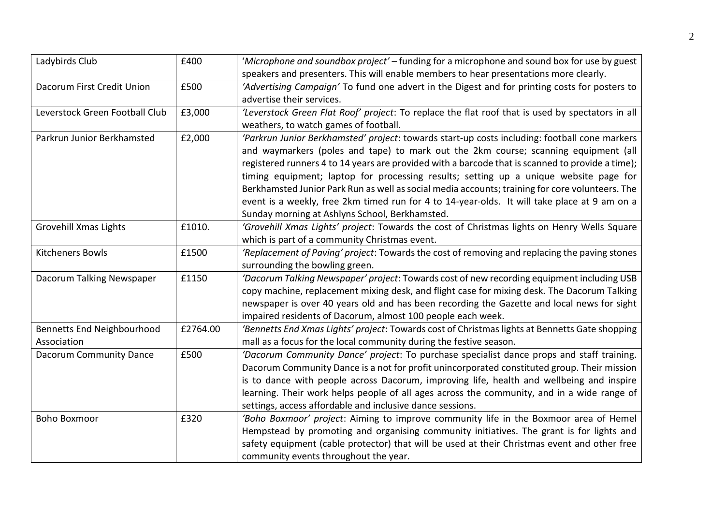| Ladybirds Club                 | £400     | 'Microphone and soundbox project' – funding for a microphone and sound box for use by guest      |
|--------------------------------|----------|--------------------------------------------------------------------------------------------------|
|                                |          | speakers and presenters. This will enable members to hear presentations more clearly.            |
| Dacorum First Credit Union     | £500     | 'Advertising Campaign' To fund one advert in the Digest and for printing costs for posters to    |
|                                |          | advertise their services.                                                                        |
| Leverstock Green Football Club | £3,000   | 'Leverstock Green Flat Roof' project: To replace the flat roof that is used by spectators in all |
|                                |          | weathers, to watch games of football.                                                            |
| Parkrun Junior Berkhamsted     | £2,000   | 'Parkrun Junior Berkhamsted' project: towards start-up costs including: football cone markers    |
|                                |          | and waymarkers (poles and tape) to mark out the 2km course; scanning equipment (all              |
|                                |          | registered runners 4 to 14 years are provided with a barcode that is scanned to provide a time); |
|                                |          | timing equipment; laptop for processing results; setting up a unique website page for            |
|                                |          | Berkhamsted Junior Park Run as well as social media accounts; training for core volunteers. The  |
|                                |          | event is a weekly, free 2km timed run for 4 to 14-year-olds. It will take place at 9 am on a     |
|                                |          | Sunday morning at Ashlyns School, Berkhamsted.                                                   |
| Grovehill Xmas Lights          | £1010.   | 'Grovehill Xmas Lights' project: Towards the cost of Christmas lights on Henry Wells Square      |
|                                |          | which is part of a community Christmas event.                                                    |
| <b>Kitcheners Bowls</b>        | £1500    | 'Replacement of Paving' project: Towards the cost of removing and replacing the paving stones    |
|                                |          | surrounding the bowling green.                                                                   |
| Dacorum Talking Newspaper      | £1150    | 'Dacorum Talking Newspaper' project: Towards cost of new recording equipment including USB       |
|                                |          | copy machine, replacement mixing desk, and flight case for mixing desk. The Dacorum Talking      |
|                                |          | newspaper is over 40 years old and has been recording the Gazette and local news for sight       |
|                                |          | impaired residents of Dacorum, almost 100 people each week.                                      |
| Bennetts End Neighbourhood     | £2764.00 | 'Bennetts End Xmas Lights' project: Towards cost of Christmas lights at Bennetts Gate shopping   |
| Association                    |          | mall as a focus for the local community during the festive season.                               |
| <b>Dacorum Community Dance</b> | £500     | 'Dacorum Community Dance' project: To purchase specialist dance props and staff training.        |
|                                |          | Dacorum Community Dance is a not for profit unincorporated constituted group. Their mission      |
|                                |          | is to dance with people across Dacorum, improving life, health and wellbeing and inspire         |
|                                |          | learning. Their work helps people of all ages across the community, and in a wide range of       |
|                                |          | settings, access affordable and inclusive dance sessions.                                        |
| <b>Boho Boxmoor</b>            | £320     | 'Boho Boxmoor' project: Aiming to improve community life in the Boxmoor area of Hemel            |
|                                |          | Hempstead by promoting and organising community initiatives. The grant is for lights and         |
|                                |          | safety equipment (cable protector) that will be used at their Christmas event and other free     |
|                                |          | community events throughout the year.                                                            |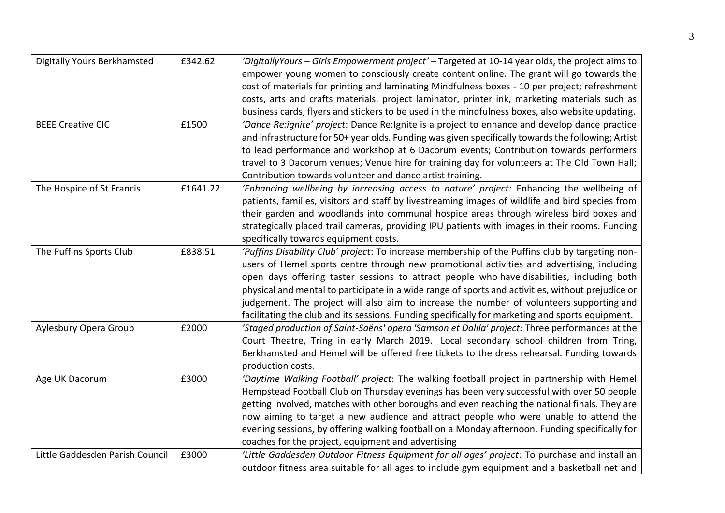| <b>Digitally Yours Berkhamsted</b> | £342.62  | 'DigitallyYours – Girls Empowerment project' – Targeted at 10-14 year olds, the project aims to    |
|------------------------------------|----------|----------------------------------------------------------------------------------------------------|
|                                    |          | empower young women to consciously create content online. The grant will go towards the            |
|                                    |          | cost of materials for printing and laminating Mindfulness boxes - 10 per project; refreshment      |
|                                    |          | costs, arts and crafts materials, project laminator, printer ink, marketing materials such as      |
|                                    |          | business cards, flyers and stickers to be used in the mindfulness boxes, also website updating.    |
| <b>BEEE Creative CIC</b>           | £1500    | 'Dance Re:ignite' project: Dance Re:Ignite is a project to enhance and develop dance practice      |
|                                    |          | and infrastructure for 50+ year olds. Funding was given specifically towards the following; Artist |
|                                    |          | to lead performance and workshop at 6 Dacorum events; Contribution towards performers              |
|                                    |          | travel to 3 Dacorum venues; Venue hire for training day for volunteers at The Old Town Hall;       |
|                                    |          | Contribution towards volunteer and dance artist training.                                          |
| The Hospice of St Francis          | £1641.22 | 'Enhancing wellbeing by increasing access to nature' project: Enhancing the wellbeing of           |
|                                    |          | patients, families, visitors and staff by livestreaming images of wildlife and bird species from   |
|                                    |          | their garden and woodlands into communal hospice areas through wireless bird boxes and             |
|                                    |          | strategically placed trail cameras, providing IPU patients with images in their rooms. Funding     |
|                                    |          | specifically towards equipment costs.                                                              |
| The Puffins Sports Club            | £838.51  | 'Puffins Disability Club' project: To increase membership of the Puffins club by targeting non-    |
|                                    |          | users of Hemel sports centre through new promotional activities and advertising, including         |
|                                    |          | open days offering taster sessions to attract people who have disabilities, including both         |
|                                    |          | physical and mental to participate in a wide range of sports and activities, without prejudice or  |
|                                    |          | judgement. The project will also aim to increase the number of volunteers supporting and           |
|                                    |          | facilitating the club and its sessions. Funding specifically for marketing and sports equipment.   |
| Aylesbury Opera Group              | £2000    | 'Staged production of Saint-Saëns' opera 'Samson et Dalila' project: Three performances at the     |
|                                    |          | Court Theatre, Tring in early March 2019. Local secondary school children from Tring,              |
|                                    |          | Berkhamsted and Hemel will be offered free tickets to the dress rehearsal. Funding towards         |
|                                    |          | production costs.                                                                                  |
| Age UK Dacorum                     | £3000    | 'Daytime Walking Football' project: The walking football project in partnership with Hemel         |
|                                    |          | Hempstead Football Club on Thursday evenings has been very successful with over 50 people          |
|                                    |          | getting involved, matches with other boroughs and even reaching the national finals. They are      |
|                                    |          | now aiming to target a new audience and attract people who were unable to attend the               |
|                                    |          | evening sessions, by offering walking football on a Monday afternoon. Funding specifically for     |
|                                    |          | coaches for the project, equipment and advertising                                                 |
| Little Gaddesden Parish Council    | £3000    | 'Little Gaddesden Outdoor Fitness Equipment for all ages' project: To purchase and install an      |
|                                    |          | outdoor fitness area suitable for all ages to include gym equipment and a basketball net and       |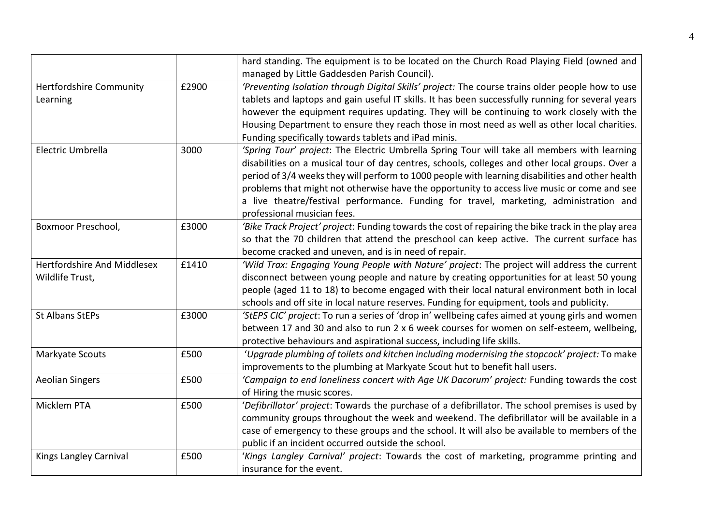|                                |       | hard standing. The equipment is to be located on the Church Road Playing Field (owned and           |
|--------------------------------|-------|-----------------------------------------------------------------------------------------------------|
|                                |       | managed by Little Gaddesden Parish Council).                                                        |
| <b>Hertfordshire Community</b> | £2900 | 'Preventing Isolation through Digital Skills' project: The course trains older people how to use    |
| Learning                       |       | tablets and laptops and gain useful IT skills. It has been successfully running for several years   |
|                                |       | however the equipment requires updating. They will be continuing to work closely with the           |
|                                |       | Housing Department to ensure they reach those in most need as well as other local charities.        |
|                                |       | Funding specifically towards tablets and iPad minis.                                                |
| Electric Umbrella              | 3000  | 'Spring Tour' project: The Electric Umbrella Spring Tour will take all members with learning        |
|                                |       | disabilities on a musical tour of day centres, schools, colleges and other local groups. Over a     |
|                                |       | period of 3/4 weeks they will perform to 1000 people with learning disabilities and other health    |
|                                |       | problems that might not otherwise have the opportunity to access live music or come and see         |
|                                |       | a live theatre/festival performance. Funding for travel, marketing, administration and              |
|                                |       | professional musician fees.                                                                         |
| Boxmoor Preschool,             | £3000 | 'Bike Track Project' project: Funding towards the cost of repairing the bike track in the play area |
|                                |       | so that the 70 children that attend the preschool can keep active. The current surface has          |
|                                |       | become cracked and uneven, and is in need of repair.                                                |
| Hertfordshire And Middlesex    | £1410 | 'Wild Trax: Engaging Young People with Nature' project: The project will address the current        |
| Wildlife Trust,                |       | disconnect between young people and nature by creating opportunities for at least 50 young          |
|                                |       | people (aged 11 to 18) to become engaged with their local natural environment both in local         |
|                                |       | schools and off site in local nature reserves. Funding for equipment, tools and publicity.          |
| <b>St Albans StEPs</b>         | £3000 | 'StEPS CIC' project: To run a series of 'drop in' wellbeing cafes aimed at young girls and women    |
|                                |       | between 17 and 30 and also to run 2 x 6 week courses for women on self-esteem, wellbeing,           |
|                                |       | protective behaviours and aspirational success, including life skills.                              |
| Markyate Scouts                | £500  | 'Upgrade plumbing of toilets and kitchen including modernising the stopcock' project: To make       |
|                                |       | improvements to the plumbing at Markyate Scout hut to benefit hall users.                           |
| <b>Aeolian Singers</b>         | £500  | 'Campaign to end loneliness concert with Age UK Dacorum' project: Funding towards the cost          |
|                                |       | of Hiring the music scores.                                                                         |
| Micklem PTA                    | £500  | 'Defibrillator' project: Towards the purchase of a defibrillator. The school premises is used by    |
|                                |       | community groups throughout the week and weekend. The defibrillator will be available in a          |
|                                |       | case of emergency to these groups and the school. It will also be available to members of the       |
|                                |       | public if an incident occurred outside the school.                                                  |
| Kings Langley Carnival         | £500  | 'Kings Langley Carnival' project: Towards the cost of marketing, programme printing and             |
|                                |       | insurance for the event.                                                                            |